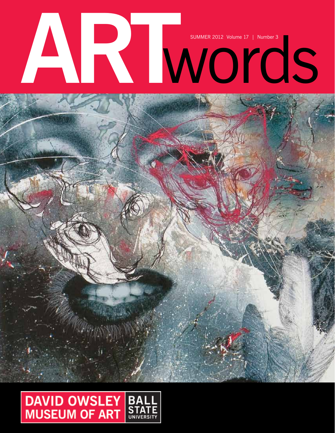# SUMMER 2012 Volume 17 | Number 3

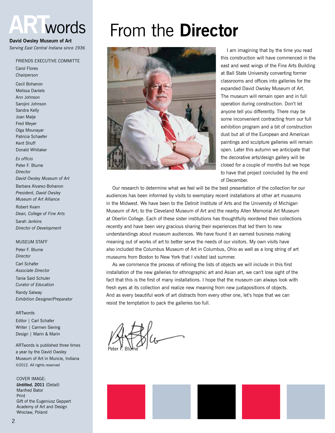## **ART**words

#### **David Owsley Museum of Art**

*Serving East Central Indiana since 1936*

#### Friends Executive Committe

Carol Flores *Chairperson*

Cecil Bohanon Melissa Daniels Ann Johnson Sarojini Johnson Sandra Kelly Joan Malje Fred Meyer Olga Mounayar Patricia Schaefer Kent Shuff Donald Whitaker

*Ex officio* Peter F. Blume *Director David Owsley Museum of Art* Barbara Alvarez-Bohanon *President, David Owsley Museum of Art Alliance* Robert Kvam *Dean, College of Fine Arts* Sarah Jenkins *Director of Development*

#### **MUSEUM STAFF**

Peter F. Blume *Director* Carl Schafer *Associate Director* Tania Said Schuler *Curator of Education* Randy Salway *Exhibition Designer/Preparator*

#### ARTwords

Editor | Carl Schafer Writer | Carmen Siering Design | Marin & Marin

ARTwords is published three times a year by the David Owsley Museum of Art in Muncie, Indiana ©2012. All rights reserved

COVER IMAGE: *Untitled,* **2011** (Detail) Manfred Bator Print Gift of the Eugeniusz Geppert Academy of Art and Design Wroclaw, Poland

## From the **Director**



I am imagining that by the time you read this construction will have commenced in the east and west wings of the Fine Arts Building at Ball State University converting former classrooms and offices into galleries for the expanded David Owsley Museum of Art. The museum will remain open and in full operation during construction. Don't let anyone tell you differently. There may be some inconvenient contracting from our full exhibition program and a bit of construction dust but all of the European and American paintings and sculpture galleries will remain open. Later this autumn we anticipate that the decorative arts/design gallery will be closed for a couple of months but we hope to have that project concluded by the end of December.

Our research to determine what we feel will be the best presentation of the collection for our audiences has been informed by visits to exemplary recent installations at other art museums in the Midwest. We have been to the Detroit Institute of Arts and the University of Michigan Museum of Art; to the Cleveland Museum of Art and the nearby Allen Memorial Art Museum at Oberlin College. Each of these sister institutions has thoughtfully reordered their collections recently and have been very gracious sharing their experiences that led them to new understandings about museum audiences. We have found it an earnest business making meaning out of works of art to better serve the needs of our visitors. My own visits have also included the Columbus Museum of Art in Columbus, Ohio as well as a long string of art museums from Boston to New York that I visited last summer.

As we commence the process of refining the lists of objects we will include in this first installation of the new galleries for ethnographic art and Asian art, we can't lose sight of the fact that this is the first of many installations. I hope that the museum can always look with fresh eyes at its collection and realize new meaning from new juxtapositions of objects. And as every beautiful work of art distracts from every other one, let's hope that we can resist the temptation to pack the galleries too full.

Peter F. Blume

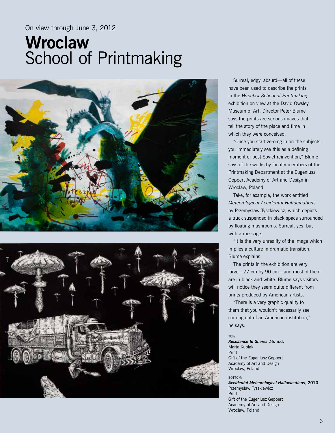#### On view through June 3, 2012

## **Wroclaw**  School of Printmaking





Surreal, edgy, absurd—all of these have been used to describe the prints in the *Wroclaw School of Printmaking* exhibition on view at the David Owsley Museum of Art. Director Peter Blume says the prints are serious images that tell the story of the place and time in which they were conceived.

"Once you start zeroing in on the subjects, you immediately see this as a defining moment of post-Soviet reinvention," Blume says of the works by faculty members of the Printmaking Department at the Eugeniusz Geppert Academy of Art and Design in Wroclaw, Poland.

Take, for example, the work entitled *Meteorological Accidental Hallucinations* by Przemyslaw Tyszkiewicz, which depicts a truck suspended in black space surrounded by floating mushrooms. Surreal, yes, but with a message.

"It is the very unreality of the image which implies a culture in dramatic transition," Blume explains.

The prints in the exhibition are very large—77 cm by 90 cm—and most of them are in black and white. Blume says visitors will notice they seem quite different from prints produced by American artists.

"There is a very graphic quality to them that you wouldn't necessarily see coming out of an American institution," he says.

TOP:

*Resistance to Snares 16,* **n.d.** Marta Kubiak Print Gift of the Eugeniusz Geppert Academy of Art and Design Wroclaw, Poland

bottom:

*Accidental Meteorological Hallucinations,* **2010** Przemyslaw Tyszkiewicz Print Gift of the Eugeniusz Geppert Academy of Art and Design Wroclaw, Poland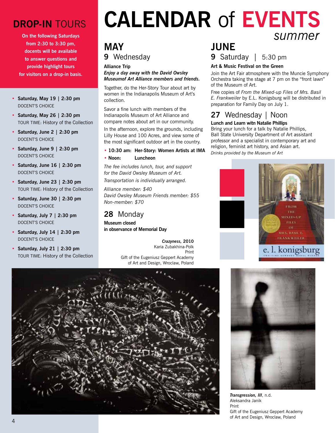### **Drop-In** Tours

**On the following Saturdays from 2:30 to 3:30 pm, docents will be available to answer questions and provide highlight tours for visitors on a drop-in basis.**

- **Saturday, May 19 | 2:30 pm** DOCENT'S CHOICE
- **Saturday, May 26 | 2:30 pm** Tour Time: History of the Collection
- **Saturday, June 2 | 2:30 pm** DOCENT'S CHOICE
- **Saturday, June 9 | 2:30 pm**  DOCENT'S CHOICE
- **Saturday, June 16 | 2:30 pm** DOCENT'S CHOICE
- **Saturday, June 23 | 2:30 pm** Tour Time: History of the Collection
- **Saturday, June 30 | 2:30 pm** DOCENT'S CHOICE
- **Saturday, July 7 | 2:30 pm** DOCENT'S CHOICE
- **Saturday, July 14 | 2:30 pm** DOCENT'S CHOICE
- **Saturday, July 21 | 2:30 pm** Tour Time: History of the Collection

## **Calendar** of **Events** *summer*

#### **may 9** Wednesday

#### **Alliance Trip**

*Enjoy a day away with the David Owsley Museumof Art Alliance members and friends.*

Together, do the Her-Story Tour about art by women in the Indianapolis Museum of Art's collection.

Savor a fine lunch with members of the Indianapolis Museum of Art Alliance and compare notes about art in our community. In the afternoon, explore the grounds, including Lilly House and 100 Acres, and view some of the most significant outdoor art in the country.

#### **• 10:30 am: Her-Story: Women Artists at IMA**

**• Noon: Luncheon**

*The fee includes lunch, tour, and support for the David Owsley Museum of Art. Transportation is individually arranged.*

*Alliance member: \$40 David Owsley Museum Friends member: \$55 Non-member: \$70*

#### **28** Monday

**Museum closed in observance of Memorial Day**

> *Crazyness,* **2010** Karia Zubakhina-Polk Print Gift of the Eugeniusz Geppert Academy of Art and Design, Wroclaw, Poland

#### **june 9** Saturday | 5:30 pm

#### **Art & Music Festival on the Green**

Join the Art Fair atmosphere with the Muncie Symphony Orchestra taking the stage at 7 pm on the "front lawn" of the Museum of Art.

Free copies of *From the Mixed-up Files of Mrs. Basil E. Frankweiler* by E.L. Konigsburg will be distributed in preparation for Family Day on July 1.

#### **27** Wednesday | Noon

#### **Lunch and Learn witn Natalie Phillips**

Bring your lunch for a talk by Natalie Phillips, Ball State University Department of Art assistant professor and a specialist in contemporary art and religion, feminist art history, and Asian art. *Drinks provided by the Museum of Art*







Aleksandra Janik Print Gift of the Eugeniusz Geppert Academy of Art and Design, Wroclaw, Poland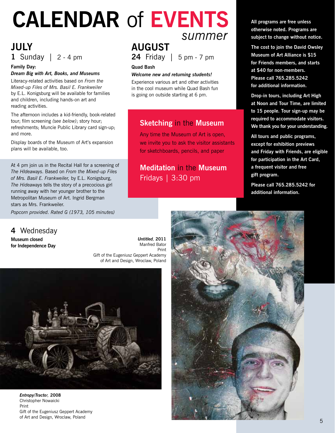## **Calendar** of **Events** *summer*

#### **july 1** Sunday | 2 - 4 pm

#### **Family Day:**  *Dream Big with Art, Books, and Museums*

Literacy-related activities based on *From the Mixed-up Files of Mrs. Basil E. Frankweiler* by E.L. Konigsburg will be available for families and children, including hands-on art and reading activities.

The afternoon includes a kid-friendly, book-related tour; film screening *(see below)*; story hour; refreshments; Muncie Public Library card sign-up; and more.

Display boards of the Museum of Art's expansion plans will be available, too.

At 4 pm join us in the Recital Hall for a screening of *The HIdeaways*. Based on *From the Mixed-up Files of Mrs. Basil E. Frankweiler,* by E.L. Konigsburg, *The Hideaways* tells the story of a precocious girl running away with her younger brother to the Metropolitan Museum of Art. Ingrid Bergman stars as Mrs. Frankweiler.

*Popcorn provided. Rated G (1973, 105 minutes)*

**4** Wednesday

**Museum closed for Independence Day**

## **august**

**24** Friday | 5 pm - 7 pm

#### **Quad Bash**

#### *Welcome new and returning students!*

Experience various art and other activities in the cool museum while Quad Bash fun is going on outside starting at 6 pm.

#### **Sketching** in the **Museum**

Any time the Museum of Art is open, we invite you to ask the visitor assistants for sketchboards, pencils, and paper

#### **Meditation** in the **Museum** Fridays | 3:30 pm

**All programs are free unless otherwise noted. Programs are subject to change without notice.**

**The cost to join the David Owsley Museum of Art Alliance is \$15 for Friends members, and starts at \$40 for non-members. Please call 765.285.5242 for additional information.**

**Drop-in tours, including Art High at Noon and Tour Time, are limited to 15 people. Tour sign-up may be required to accommodate visitors. We thank you for your understanding.**

**All tours and public programs, except for exhibition previews and Friday with Friends, are eligible for participation in the Art Card, a frequent visitor and free gift program.**

**Please call 765.285.5242 for additional information.**

*Untitled,* **2011** Manfred Bator Print Gift of the Eugeniusz Geppert Academy of Art and Design, Wroclaw, Poland



*Entropy/Tractor,* **2008** Christopher Nowaicki Print Gift of the Eugeniusz Geppert Academy of Art and Design, Wroclaw, Poland

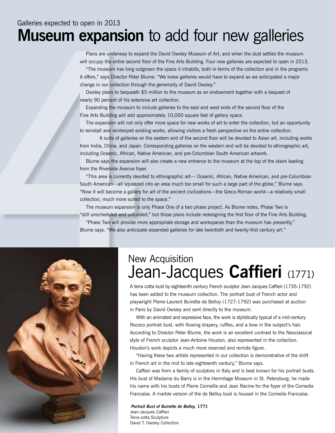## Galleries expected to open in 2013 **Museum expansion** to add four new galleries

Plans are underway to expand the David Owsley Museum of Art, and when the dust settles the museum will occupy the entire second floor of the Fine Arts Building. Four new galleries are expected to open in 2013.

"The museum has long outgrown the space it inhabits, both in terms of the collection and in the programs it offers," says Director Peter Blume. "We knew galleries would have to expand as we anticipated a major change in our collection through the generosity of David Owsley."

Owsley plans to bequeath \$5 million to the museum as an endowment together with a bequest of nearly 90 percent of his extensive art collection.

 Expanding the museum to include galleries to the east and west ends of the second floor of the Fine Arts Building will add approximately 10,000 square feet of gallery space.

The expansion will not only offer more space for new works of art to enter the collection, but an opportunity to reinstall and reinterpret existing works, allowing visitors a fresh perspective on the entire collection.

 A suite of galleries on the eastern end of the second floor will be devoted to Asian art, including works from India, China, and Japan. Corresponding galleries on the western end will be devoted to ethnographic art, including Oceanic, African, Native American, and pre-Columbian South American artwork.

Blume says the expansion will also create a new entrance to the museum at the top of the stairs leading from the Riverside Avenue foyer.

"This area is currently devoted to ethnographic art— Oceanic, African, Native American, and pre-Columbian South American—all squeezed into an area much too small for such a large part of the globe," Blume says. "Now it will become a gallery for art of the ancient civilizations—the Greco-Roman world—a relatively small collection, much more suited to the space."

The museum expansion is only Phase One of a two phase project. As Blume notes, Phase Two is "still unscheduled and unfunded," but those plans include redesigning the first floor of the Fine Arts Building.

"Phase Two will provide more appropriate storage and workspaces than the museum has presently," Blume says. "We also anticipate expanded galleries for late twentieth and twenty-first century art."



# New Acquisition<br>Jean-Jacques **Caffieri** (1771)

A terra cotta bust by eighteenth century French sculptor Jean-Jacques Caffieri (1735-1792) has been added to the museum collection. The portrait bust of French actor and playwright Pierre-Laurent Buirette de Belloy (1727-1792) was purchased at auction in Paris by David Owsley and sent directly to the museum.

With an animated and expressive face, the work is stylistically typical of a mid-century Rococo portrait bust, with flowing drapery, ruffles, and a bow in the subject's hair. According to Director Peter Blume, the work is an excellent contrast to the Neoclassical style of French sculptor Jean-Antoine Houdon, also represented in the collection. Houdon's work depicts a much more reserved and remote figure.

"Having these two artists represented in our collection is demonstrative of the shift in French art in the mid to late eighteenth century," Blume says.

Caffieri was from a family of sculptors in Italy and is best known for his portrait busts. His bust of Madame du Barry is in the Hermitage Museum in St. Petersburg; he made his name with his busts of Pierre Corneille and Jean Racine for the foyer of the Comedie Francaise. A marble version of the de Belloy bust is housed in the Comedie Francaise.

*Portrait Bust of Buirette de Belloy,* **1771** Jean-Jacques Caffieri Terra-cotta Sculpture David T. Owsley Collection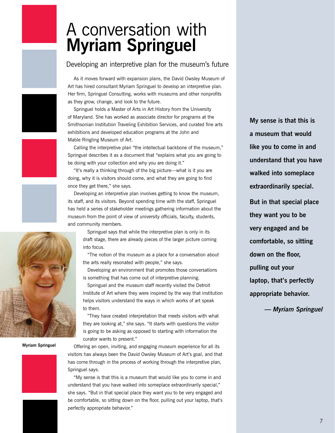## A conversation with **Myriam Springuel**

#### Developing an interpretive plan for the museum's future

As it moves forward with expansion plans, the David Owsley Museum of Art has hired consultant Myriam Springuel to develop an interpretive plan. Her firm, Springuel Consulting, works with museums and other nonprofits as they grow, change, and look to the future.

Springuel holds a Master of Arts in Art History from the University of Maryland. She has worked as associate director for programs at the Smithsonian Institution Traveling Exhibition Services, and curated fine arts exhibitions and developed education programs at the John and Mable Ringling Museum of Art.

Calling the interpretive plan "the intellectual backbone of the museum," Springuel describes it as a document that "explains what you are going to be doing with your collection and why you are doing it."

"It's really a thinking through of the big picture—what is it you are doing, why it is visitors should come, and what they are going to find once they get there," she says.

Developing an interpretive plan involves getting to know the museum, its staff, and its visitors. Beyond spending time with the staff, Springuel has held a series of stakeholder meetings gathering information about the museum from the point of view of university officials, faculty, students, and community members.

Springuel says that while the interpretive plan is only in its draft stage, there are already pieces of the larger picture coming into focus.

"The notion of the museum as a place for a conversation about the arts really resonated with people," she says.

Developing an environment that promotes those conversations is something that has come out of interpretive planning.

Springuel and the museum staff recently visited the Detroit Institute of Art where they were inspired by the way that institution helps visitors understand the ways in which works of art speak to them.

"They have created interpretation that meets visitors with what they are looking at," she says. "It starts with questions the visitor is going to be asking as opposed to starting with information the curator wants to present."

Offering an open, inviting, and engaging museum experience for all its visitors has always been the David Owsley Museum of Art's goal, and that has come through in the process of working through the interpretive plan, Springuel says.

"My sense is that this is a museum that would like you to come in and understand that you have walked into someplace extraordinarily special," she says. "But in that special place they want you to be very engaged and be comfortable, so sitting down on the floor, pulling out your laptop, that's perfectly appropriate behavior."

**My sense is that this is a museum that would like you to come in and understand that you have walked into someplace extraordinarily special.**

**But in that special place they want you to be very engaged and be comfortable, so sitting down on the floor, pulling out your laptop, that's perfectly appropriate behavior.**

*— Myriam Springuel*





**Myriam Springuel**